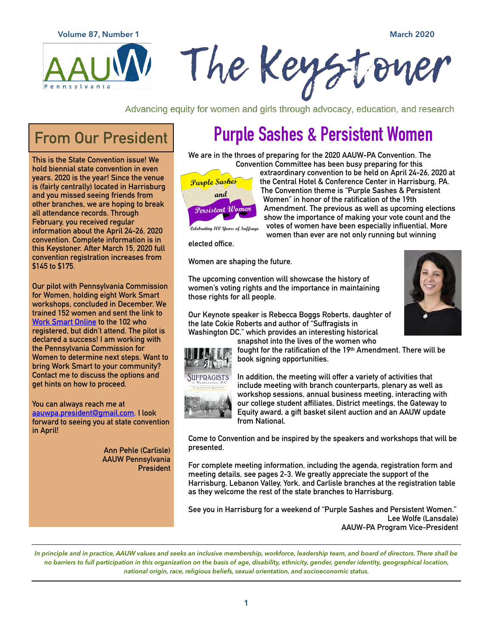

Advancing equity for women and girls through advocacy, education, and research

# **From Our President**

**This is the State Convention issue! We hold biennial state convention in even years. 2020 is the year! Since the venue is (fairly centrally) located in Harrisburg and you missed seeing friends from other branches, we are hoping to break all attendance records. Through February, you received regular information about the April 24-26, 2020 convention. Complete information is in this Keystoner. After March 15, 2020 full convention registration increases from \$145 to \$175.** 

**Our pilot with Pennsylvania Commission for Women, holding eight Work Smart workshops, concluded in December. We trained 152 women and sent the link to [Work Smart Online](http://aauw.us/PA) to the 102 who registered, but didn't attend. The pilot is declared a success! I am working with the Pennsylvania Commission for Women to determine next steps. Want to bring Work Smart to your community? Contact me to discuss the options and get hints on how to proceed.** 

**You can always reach me at [aauwpa.president@gmail.com.](mailto:aauwpa.president@gmail.com) I look forward to seeing you at state convention in April!** 

> **Ann Pehle (Carlisle) AAUW Pennsylvania President**

# **Purple Sashes & Persistent Women**

**We are in the throes of preparing for the 2020 AAUW-PA Convention. The Convention Committee has been busy preparing for this** 



**extraordinary convention to be held on April 24-26, 2020 at the Central Hotel & Conference Center in Harrisburg, PA. The Convention theme is "Purple Sashes & Persistent Women" in honor of the ratification of the 19th Amendment. The previous as well as upcoming elections show the importance of making your vote count and the votes of women have been especially influential. More women than ever are not only running but winning** 

**elected office.** 

**Women are shaping the future.** 

**The upcoming convention will showcase the history of women's voting rights and the importance in maintaining those rights for all people.** 





**snapshot into the lives of the women who** 

**fought for the ratification of the 19th Amendment. There will be book signing opportunities.** 



**In addition, the meeting will offer a variety of activities that include meeting with branch counterparts, plenary as well as workshop sessions, annual business meeting, interacting with our college student affiliates, District meetings, the Gateway to Equity award, a gift basket silent auction and an AAUW update from National.** 

**Come to Convention and be inspired by the speakers and workshops that will be presented.** 

**For complete meeting information, including the agenda, registration form and meeting details, see pages 2-3. We greatly appreciate the support of the Harrisburg, Lebanon Valley, York, and Carlisle branches at the registration table as they welcome the rest of the state branches to Harrisburg.** 

**See you in Harrisburg for a weekend of "Purple Sashes and Persistent Women." Lee Wolfe (Lansdale) AAUW-PA Program Vice-President**

*In principle and in practice, AAUW values and seeks an inclusive membership, workforce, leadership team, and board of directors. There shall be no barriers to full participation in this organization on the basis of age, disability, ethnicity, gender, gender identity, geographical location, national origin, race, religious beliefs, sexual orientation, and socioeconomic status.*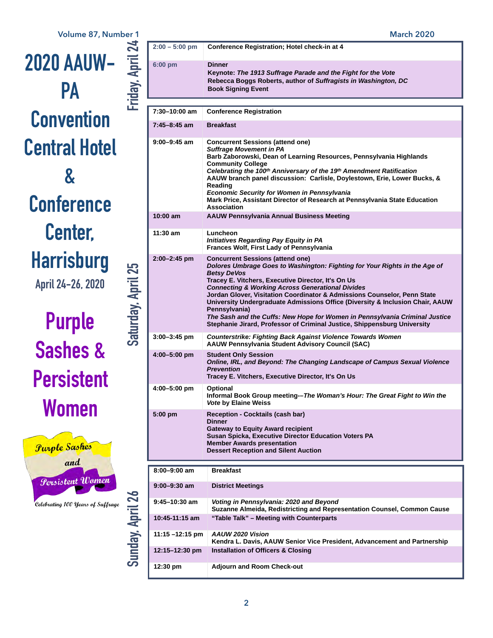

# **Purple Sashes & Persistent Women**



|                                        | $2:00 - 5:00$ pm   | Conference Registration; Hotel check-in at 4                                                                                                                                                                                                                                                                                                                                                                                                                                                                                                                                                              |  |  |  |  |  |
|----------------------------------------|--------------------|-----------------------------------------------------------------------------------------------------------------------------------------------------------------------------------------------------------------------------------------------------------------------------------------------------------------------------------------------------------------------------------------------------------------------------------------------------------------------------------------------------------------------------------------------------------------------------------------------------------|--|--|--|--|--|
| Friday, April 24                       | 6:00 pm            | <b>Dinner</b><br>Keynote: The 1913 Suffrage Parade and the Fight for the Vote<br>Rebecca Boggs Roberts, author of Suffragists in Washington, DC<br><b>Book Signing Event</b>                                                                                                                                                                                                                                                                                                                                                                                                                              |  |  |  |  |  |
|                                        |                    |                                                                                                                                                                                                                                                                                                                                                                                                                                                                                                                                                                                                           |  |  |  |  |  |
|                                        | 7:30-10:00 am      | <b>Conference Registration</b>                                                                                                                                                                                                                                                                                                                                                                                                                                                                                                                                                                            |  |  |  |  |  |
| Saturday, April 25<br>Sunday, April 26 | 7:45-8:45 am       | <b>Breakfast</b>                                                                                                                                                                                                                                                                                                                                                                                                                                                                                                                                                                                          |  |  |  |  |  |
|                                        | $9:00 - 9:45$ am   | <b>Concurrent Sessions (attend one)</b><br><b>Suffrage Movement in PA</b><br>Barb Zaborowski, Dean of Learning Resources, Pennsylvania Highlands<br><b>Community College</b><br>Celebrating the 100 <sup>th</sup> Anniversary of the 19 <sup>th</sup> Amendment Ratification<br>AAUW branch panel discussion: Carlisle, Doylestown, Erie, Lower Bucks, &<br>Reading<br><b>Economic Security for Women in Pennsylvania</b><br>Mark Price, Assistant Director of Research at Pennsylvania State Education<br>Association                                                                                    |  |  |  |  |  |
|                                        | $10:00$ am         | <b>AAUW Pennsylvania Annual Business Meeting</b>                                                                                                                                                                                                                                                                                                                                                                                                                                                                                                                                                          |  |  |  |  |  |
|                                        | 11:30 am           | Luncheon<br><b>Initiatives Regarding Pay Equity in PA</b><br>Frances Wolf, First Lady of Pennsylvania                                                                                                                                                                                                                                                                                                                                                                                                                                                                                                     |  |  |  |  |  |
|                                        | $2:00 - 2:45$ pm   | <b>Concurrent Sessions (attend one)</b><br>Dolores Umbrage Goes to Washington: Fighting for Your Rights in the Age of<br><b>Betsy DeVos</b><br>Tracey E. Vitchers, Executive Director, It's On Us<br><b>Connecting &amp; Working Across Generational Divides</b><br>Jordan Glover, Visitation Coordinator & Admissions Counselor, Penn State<br>University Undergraduate Admissions Office (Diversity & Inclusion Chair, AAUW<br>Pennsylvania)<br>The Sash and the Cuffs: New Hope for Women in Pennsylvania Criminal Justice<br>Stephanie Jirard, Professor of Criminal Justice, Shippensburg University |  |  |  |  |  |
|                                        | $3:00 - 3:45$ pm   | <b>Counterstrike: Fighting Back Against Violence Towards Women</b><br><b>AAUW Pennsylvania Student Advisory Council (SAC)</b>                                                                                                                                                                                                                                                                                                                                                                                                                                                                             |  |  |  |  |  |
|                                        | 4:00-5:00 pm       | <b>Student Only Session</b><br>Online, IRL, and Beyond: The Changing Landscape of Campus Sexual Violence<br><b>Prevention</b><br>Tracey E. Vitchers, Executive Director, It's On Us                                                                                                                                                                                                                                                                                                                                                                                                                       |  |  |  |  |  |
|                                        | 4:00-5:00 pm       | <b>Optional</b><br>Informal Book Group meeting--The Woman's Hour: The Great Fight to Win the<br><i><b>Vote by Elaine Weiss</b></i>                                                                                                                                                                                                                                                                                                                                                                                                                                                                        |  |  |  |  |  |
|                                        | $5:00$ pm          | <b>Reception - Cocktails (cash bar)</b><br><b>Dinner</b><br><b>Gateway to Equity Award recipient</b><br>Susan Spicka, Executive Director Education Voters PA<br><b>Member Awards presentation</b><br><b>Dessert Reception and Silent Auction</b>                                                                                                                                                                                                                                                                                                                                                          |  |  |  |  |  |
|                                        | $8:00 - 9:00$ am   | <b>Breakfast</b>                                                                                                                                                                                                                                                                                                                                                                                                                                                                                                                                                                                          |  |  |  |  |  |
|                                        | $9:00 - 9:30$ am   | <b>District Meetings</b>                                                                                                                                                                                                                                                                                                                                                                                                                                                                                                                                                                                  |  |  |  |  |  |
|                                        | $9:45 - 10:30$ am  | Voting in Pennsylvania: 2020 and Beyond<br>Suzanne Almeida, Redistricting and Representation Counsel, Common Cause                                                                                                                                                                                                                                                                                                                                                                                                                                                                                        |  |  |  |  |  |
|                                        | 10:45-11:15 am     | "Table Talk" - Meeting with Counterparts                                                                                                                                                                                                                                                                                                                                                                                                                                                                                                                                                                  |  |  |  |  |  |
|                                        | $11:15 - 12:15$ pm | <b>AAUW 2020 Vision</b><br>Kendra L. Davis, AAUW Senior Vice President, Advancement and Partnership                                                                                                                                                                                                                                                                                                                                                                                                                                                                                                       |  |  |  |  |  |
|                                        | 12:15-12:30 pm     | <b>Installation of Officers &amp; Closing</b>                                                                                                                                                                                                                                                                                                                                                                                                                                                                                                                                                             |  |  |  |  |  |
|                                        | 12:30 pm           | <b>Adjourn and Room Check-out</b>                                                                                                                                                                                                                                                                                                                                                                                                                                                                                                                                                                         |  |  |  |  |  |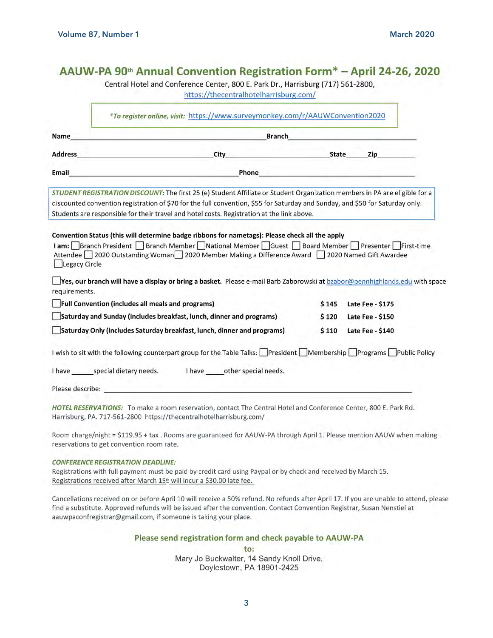| *To register online, visit: https://www.surveymonkey.com/r/AAUWConvention2020 |                                                                                                                                                                                                                                                                                                                                                                                                                                |              |  |                         |  |  |
|-------------------------------------------------------------------------------|--------------------------------------------------------------------------------------------------------------------------------------------------------------------------------------------------------------------------------------------------------------------------------------------------------------------------------------------------------------------------------------------------------------------------------|--------------|--|-------------------------|--|--|
| Name                                                                          | <b>Branch</b>                                                                                                                                                                                                                                                                                                                                                                                                                  |              |  |                         |  |  |
| <b>Address</b>                                                                | City                                                                                                                                                                                                                                                                                                                                                                                                                           | <b>State</b> |  | Zip                     |  |  |
| Email                                                                         | Phone                                                                                                                                                                                                                                                                                                                                                                                                                          |              |  |                         |  |  |
|                                                                               | STUDENT REGISTRATION DISCOUNT: The first 25 (e) Student Affiliate or Student Organization members in PA are eligible for a<br>discounted convention registration of \$70 for the full convention, \$55 for Saturday and Sunday, and \$50 for Saturday only.<br>Students are responsible for their travel and hotel costs. Registration at the link above.                                                                      |              |  |                         |  |  |
| Legacy Circle                                                                 | Convention Status (this will determine badge ribbons for nametags): Please check all the apply<br>1 am: Branch President Branch Member National Member Guest Board Member Presenter First-time<br>Attendee 2020 Outstanding Woman 2020 Member Making a Difference Award 2020 Named Gift Awardee<br>Yes, our branch will have a display or bring a basket. Please e-mail Barb Zaborowski at bzabor@pennhighlands.edu with space |              |  |                         |  |  |
| requirements.                                                                 |                                                                                                                                                                                                                                                                                                                                                                                                                                |              |  |                         |  |  |
|                                                                               | Full Convention (includes all meals and programs)                                                                                                                                                                                                                                                                                                                                                                              | \$145        |  | <b>Late Fee - \$175</b> |  |  |
|                                                                               | Saturday and Sunday (includes breakfast, lunch, dinner and programs)                                                                                                                                                                                                                                                                                                                                                           | \$120        |  | Late Fee - \$150        |  |  |
| Saturday Only (includes Saturday breakfast, lunch, dinner and programs)       |                                                                                                                                                                                                                                                                                                                                                                                                                                |              |  | Late Fee - \$140        |  |  |
|                                                                               | I wish to sit with the following counterpart group for the Table Talks: President Membership Programs Public Policy                                                                                                                                                                                                                                                                                                            |              |  |                         |  |  |
|                                                                               | I have special dietary needs.<br>I have other special needs.                                                                                                                                                                                                                                                                                                                                                                   |              |  |                         |  |  |
| Please describe:                                                              |                                                                                                                                                                                                                                                                                                                                                                                                                                |              |  |                         |  |  |
|                                                                               | HOTEL RESERVATIONS: To make a room reservation, contact The Central Hotel and Conference Center, 800 E. Park Rd.<br>Harrisburg, PA. 717-561-2800 https://thecentralhotelharrisburg.com/                                                                                                                                                                                                                                        |              |  |                         |  |  |
|                                                                               | Room charge/night = \$119.95 + tax . Rooms are guaranteed for AAUW-PA through April 1. Please mention AAUW when making<br>reservations to get convention room rate.                                                                                                                                                                                                                                                            |              |  |                         |  |  |
|                                                                               | <b>CONFERENCE REGISTRATION DEADLINE:</b><br>Registrations with full payment must be paid by credit card using Paypal or by check and received by March 15.<br>Registrations received after March 15 <sup>th</sup> will incur a \$30.00 late fee.                                                                                                                                                                               |              |  |                         |  |  |

Cancellations received on or before April 10 will receive a 50% refund. No refunds after April 17. If you are unable to attend, please find a substitute. Approved refunds will be issued after the convention. Contact Convention Registrar, Susan Nenstiel at aauwpaconfregistrar@gmail.com, if someone is taking your place.

Please send registration form and check payable to AAUW-PA

to: Mary Jo Buckwalter, 14 Sandy Knoll Drive, Doylestown, PA 18901-2425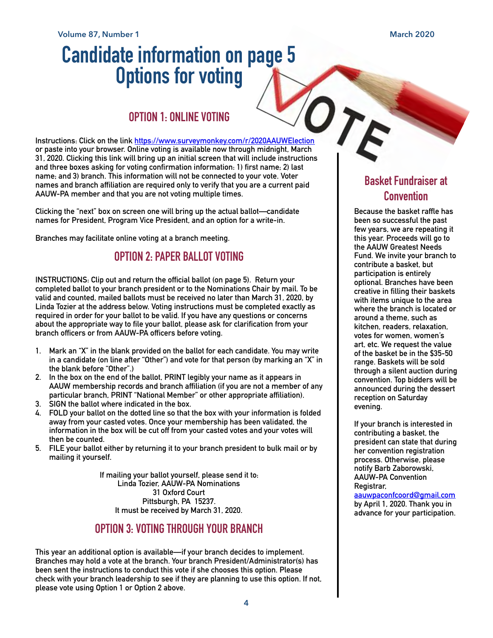# Candidate information on page 5<br>
Options for voting<br>
OPTION 1: ONLINE VOTING

## **OPTION 1: ONLINE VOTING**

**Instructions: Click on the link <https://www.surveymonkey.com/r/2020AAUWElection> or paste into your browser. Online voting is available now through midnight, March 31, 2020. Clicking this link will bring up an initial screen that will include instructions and three boxes asking for voting confirmation information: 1) first name; 2) last name; and 3) branch. This information will not be connected to your vote. Voter names and branch affiliation are required only to verify that you are a current paid AAUW-PA member and that you are not voting multiple times.** 

**Clicking the "next" box on screen one will bring up the actual ballot—candidate names for President, Program Vice President, and an option for a write-in.** 

**Branches may facilitate online voting at a branch meeting.** 

## **OPTION 2: PAPER BALLOT VOTING**

**INSTRUCTIONS: Clip out and return the official ballot (on page 5). Return your completed ballot to your branch president or to the Nominations Chair by mail. To be valid and counted, mailed ballots must be received no later than March 31, 2020, by Linda Tozier at the address below. Voting instructions must be completed exactly as required in order for your ballot to be valid. If you have any questions or concerns about the appropriate way to file your ballot, please ask for clarification from your branch officers or from AAUW-PA officers before voting.** 

- **1. Mark an "X" in the blank provided on the ballot for each candidate. You may write in a candidate (on line after "Other") and vote for that person (by marking an "X" in the blank before "Other".)**
- **2. In the box on the end of the ballot, PRINT legibly your name as it appears in AAUW membership records and branch affiliation (if you are not a member of any particular branch, PRINT "National Member" or other appropriate affiliation).**
- **3. SIGN the ballot where indicated in the box.**
- **4. FOLD your ballot on the dotted line so that the box with your information is folded away from your casted votes. Once your membership has been validated, the information in the box will be cut off from your casted votes and your votes will then be counted.**
- **5. FILE your ballot either by returning it to your branch president to bulk mail or by mailing it yourself.**

**If mailing your ballot yourself, please send it to: Linda Tozier, AAUW-PA Nominations 31 Oxford Court Pittsburgh, PA 15237. It must be received by March 31, 2020.** 

## **OPTION 3: VOTING THROUGH YOUR BRANCH**

**This year an additional option is available—if your branch decides to implement. Branches may hold a vote at the branch. Your branch President/Administrator(s) has been sent the instructions to conduct this vote if she chooses this option. Please check with your branch leadership to see if they are planning to use this option. If not, please vote using Option 1 or Option 2 above.**

# **Basket Fundraiser at Convention**

**Because the basket raffle has been so successful the past few years, we are repeating it this year. Proceeds will go to the AAUW Greatest Needs Fund. We invite your branch to contribute a basket, but participation is entirely optional. Branches have been creative in filling their baskets with items unique to the area where the branch is located or around a theme, such as kitchen, readers, relaxation, votes for women, women's art, etc. We request the value of the basket be in the \$35-50 range. Baskets will be sold through a silent auction during convention. Top bidders will be announced during the dessert reception on Saturday evening.** 

**If your branch is interested in contributing a basket, the president can state that during her convention registration process. Otherwise, please notify Barb Zaborowski, AAUW-PA Convention Registrar,**

#### **[aauwpaconfcoord@gmail.com](mailto:aauwpaconfcoord@gmail.com) by April 1, 2020. Thank you in**

**advance for your participation.**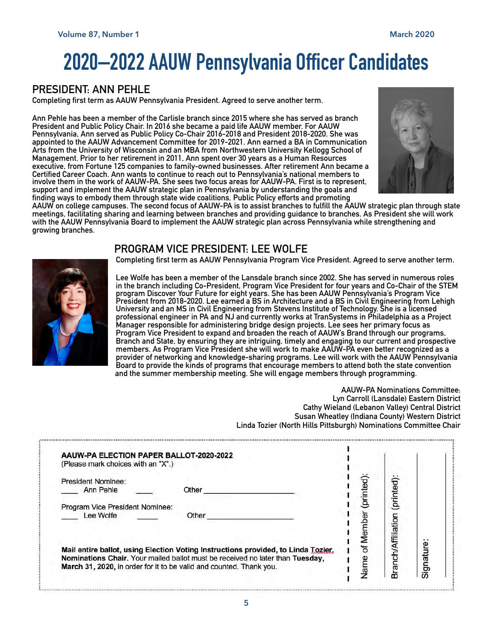# **2020–2022 AAUW Pennsylvania Officer Candidates**

# **PRESIDENT: ANN PEHLE**

**Completing first term as AAUW Pennsylvania President. Agreed to serve another term.** 

**Ann Pehle has been a member of the Carlisle branch since 2015 where she has served as branch President and Public Policy Chair. In 2016 she became a paid life AAUW member. For AAUW Pennsylvania, Ann served as Public Policy Co-Chair 2016-2018 and President 2018-2020. She was appointed to the AAUW Advancement Committee for 2019-2021. Ann earned a BA in Communication Arts from the University of Wisconsin and an MBA from Northwestern University Kellogg School of Management. Prior to her retirement in 2011, Ann spent over 30 years as a Human Resources executive, from Fortune 125 companies to family-owned businesses. After retirement Ann became a Certified Career Coach. Ann wants to continue to reach out to Pennsylvania's national members to involve them in the work of AAUW-PA. She sees two focus areas for AAUW-PA. First is to represent, support and implement the AAUW strategic plan in Pennsylvania by understanding the goals and finding ways to embody them through state wide coalitions, Public Policy efforts and promoting** 



**AAUW on college campuses. The second focus of AAUW-PA is to assist branches to fulfill the AAUW strategic plan through state meetings, facilitating sharing and learning between branches and providing guidance to branches. As President she will work with the AAUW Pennsylvania Board to implement the AAUW strategic plan across Pennsylvania while strengthening and growing branches.** 

## **PROGRAM VICE PRESIDENT: LEE WOLFE**



**Completing first term as AAUW Pennsylvania Program Vice President. Agreed to serve another term.** 

**Lee Wolfe has been a member of the Lansdale branch since 2002. She has served in numerous roles in the branch including Co-President, Program Vice President for four years and Co-Chair of the STEM program Discover Your Future for eight years. She has been AAUW Pennsylvania's Program Vice President from 2018-2020. Lee earned a BS in Architecture and a BS in Civil Engineering from Lehigh University and an MS in Civil Engineering from Stevens Institute of Technology. She is a licensed professional engineer in PA and NJ and currently works at TranSystems in Philadelphia as a Project Manager responsible for administering bridge design projects. Lee sees her primary focus as Program Vice President to expand and broaden the reach of AAUW's Brand through our programs, Branch and State, by ensuring they are intriguing, timely and engaging to our current and prospective members. As Program Vice President she will work to make AAUW-PA even better recognized as a provider of networking and knowledge-sharing programs. Lee will work with the AAUW Pennsylvania Board to provide the kinds of programs that encourage members to attend both the state convention and the summer membership meeting. She will engage members through programming.** 

> **AAUW-PA Nominations Committee: Lyn Carroll (Lansdale) Eastern District Cathy Wieland (Lebanon Valley) Central District Susan Wheatley (Indiana County) Western District Linda Tozier (North Hills Pittsburgh) Nominations Committee Chair**

| <b>President Nominee:</b>       |       |        |          |                |
|---------------------------------|-------|--------|----------|----------------|
| Ann Pehle                       | Other |        | printed  |                |
| Program Vice President Nominee: |       |        |          |                |
| Lee Wolfe                       | Other |        | ā        |                |
|                                 |       |        | Vfiliati |                |
|                                 |       | of Mer |          | به<br>Signatur |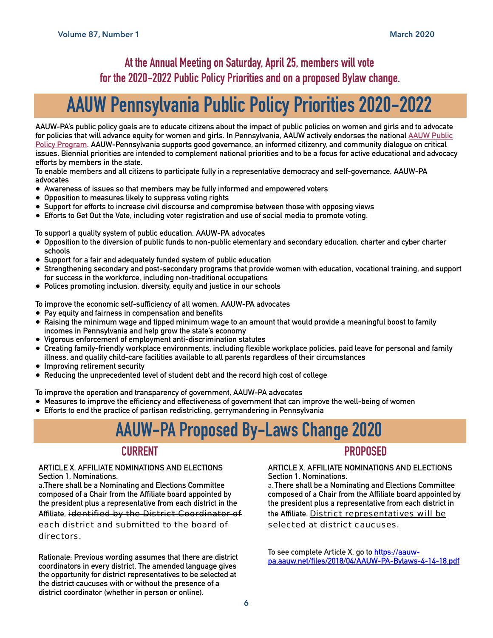# **At the Annual Meeting on Saturday, April 25, members will vote for the 2020-2022 Public Policy Priorities and on a proposed Bylaw change.**

# **AAUW Pennsylvania Public Policy Priorities 2020-2022**

**AAUW-PA's public policy goals are to educate citizens about the impact of public policies on women and girls and to advocate for policies that will advance equity for women and girls. In Pennsylvania, AAUW actively endorses the national [AAUW Public](http://www.aauw.org/?s=public+policy+program)  [Policy Program](http://www.aauw.org/?s=public+policy+program). AAUW-Pennsylvania supports good governance, an informed citizenry, and community dialogue on critical issues. Biennial priorities are intended to complement national priorities and to be a focus for active educational and advocacy efforts by members in the state.** 

**To enable members and all citizens to participate fully in a representative democracy and self-governance, AAUW-PA advocates** 

- **• Awareness of issues so that members may be fully informed and empowered voters**
- **• Opposition to measures likely to suppress voting rights**
- **• Support for efforts to increase civil discourse and compromise between those with opposing views**
- **• Efforts to Get Out the Vote, including voter registration and use of social media to promote voting.**

**To support a quality system of public education, AAUW-PA advocates** 

- **• Opposition to the diversion of public funds to non-public elementary and secondary education, charter and cyber charter schools**
- **• Support for a fair and adequately funded system of public education**
- **• Strengthening secondary and post-secondary programs that provide women with education, vocational training, and support for success in the workforce, including non-traditional occupations**
- **• Polices promoting inclusion, diversity, equity and justice in our schools**

**To improve the economic self-sufficiency of all women, AAUW-PA advocates** 

- **• Pay equity and fairness in compensation and benefits**
- **• Raising the minimum wage and tipped minimum wage to an amount that would provide a meaningful boost to family incomes in Pennsylvania and help grow the state's economy**
- **• Vigorous enforcement of employment anti-discrimination statutes**
- **• Creating family-friendly workplace environments, including flexible workplace policies, paid leave for personal and family illness, and quality child-care facilities available to all parents regardless of their circumstances**
- **• Improving retirement security**
- **• Reducing the unprecedented level of student debt and the record high cost of college**

**To improve the operation and transparency of government, AAUW-PA advocates** 

- **• Measures to improve the efficiency and effectiveness of government that can improve the well-being of women**
- **• Efforts to end the practice of partisan redistricting, gerrymandering in Pennsylvania**

# **AAUW-PA Proposed By-Laws Change 2020**

## **CURRENT**

#### **ARTICLE X. AFFILIATE NOMINATIONS AND ELECTIONS Section 1. Nominations.**

a.**There shall be a Nominating and Elections Committee composed of a Chair from the Affiliate board appointed by the president plus a representative from each district in the** 

#### **Affiliate,** identified by the District Coordinator of each district and submitted to the board of directors.

**Rationale: Previous wording assumes that there are district coordinators in every district. The amended language gives the opportunity for district representatives to be selected at the district caucuses with or without the presence of a district coordinator (whether in person or online).** 

# **PROPOSED**

#### **ARTICLE X. AFFILIATE NOMINATIONS AND ELECTIONS Section 1. Nominations.**

a.**There shall be a Nominating and Elections Committee composed of a Chair from the Affiliate board appointed by the president plus a representative from each district in** 

#### **the Affiliate.** District representatives will be selected at district caucuses.

**To see complete Article X. go to [https://aauw](https://aauw-pa.aauw.net/files/2018/04/AAUW-PA-Bylaws-4-14-18.pdf)[pa.aauw.net/files/2018/04/AAUW-PA-Bylaws-4-14-18.pdf](https://aauw-pa.aauw.net/files/2018/04/AAUW-PA-Bylaws-4-14-18.pdf)**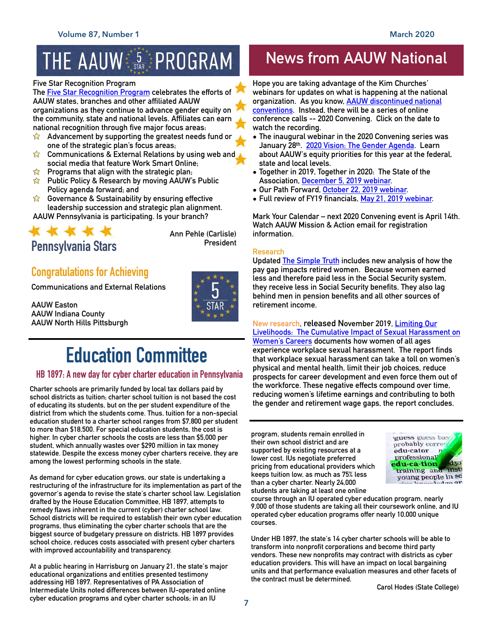# THE AAUW S STAR: PROGRAM

#### **Five Star Recognition Program**

**The [Five Star Recognition Program](https://www.aauw.org/resource/five-star-national-recognition-program/) celebrates the efforts of AAUW states, branches and other affiliated AAUW organizations as they continue to advance gender equity on the community, state and national levels. Affiliates can earn national recognition through five major focus areas:** 

- **Advancement by supporting the greatest needs fund or**   $\sum$ **one of the strategic plan's focus areas;**
- $\sum$ **Communications & External Relations by using web and social media that feature Work Smart Online;**
- $\sum$ **Programs that align with the strategic plan;**
- **Public Policy & Research by moving AAUW's Public**   $\sum$ **Policy agenda forward; and**
- **Governance & Sustainability by ensuring effective leadership succession and strategic plan alignment. AAUW Pennsylvania is participating. Is your branch?**



**Ann Pehle (Carlisle)** 

# **Congratulations for Achieving**

**Communications and External Relations** 

**AAUW Easton AAUW Indiana County AAUW North Hills Pittsburgh** 



# **Education Committee**

## **HB 1897: A new day for cyber charter education in Pennsylvania**

**Charter schools are primarily funded by local tax dollars paid by school districts as tuition; charter school tuition is not based the cost of educating its students, but on the per student expenditure of the district from which the students come. Thus, tuition for a non-special education student to a charter school ranges from \$7,800 per student to more than \$18,500. For special education students, the cost is higher. In cyber charter schools the costs are less than \$5,000 per student, which annually wastes over \$290 million in tax money statewide. Despite the excess money cyber charters receive, they are among the lowest performing schools in the state.** 

**As demand for cyber education grows, our state is undertaking a restructuring of the infrastructure for its implementation as part of the governor's agenda to revise the state's charter school law. Legislation drafted by the House Education Committee, HB 1897, attempts to remedy flaws inherent in the current (cyber) charter school law. School districts will be required to establish their own cyber education programs, thus eliminating the cyber charter schools that are the biggest source of budgetary pressure on districts. HB 1897 provides school choice, reduces costs associated with present cyber charters with improved accountability and transparency.** 

**At a public hearing in Harrisburg on January 21, the state's major educational organizations and entities presented testimony addressing HB 1897. Representatives of PA Association of Intermediate Units noted differences between IU-operated online cyber education programs and cyber charter schools; in an IU** 

# **News from AAUW National**

**Hope you are taking advantage of the Kim Churches' webinars for updates on what is happening at the national organization. As you know, [AAUW discontinued national](https://www.aauw.org/convention/)  [conventions.](https://www.aauw.org/convention/) Instead, there will be a series of online conference calls -- 2020 Convening. Click on the date to watch the recording.** 

- **• The inaugural webinar in the 2020 Convening series was January 28th. [2020 Vision: The Gender Agenda](https://www.aauw.org/event/2020/01/2020-vision-the-gender-agenda/). Learn about AAUW's equity priorities for this year at the federal, state and local levels.**
- **• Together in 2019, Together in 2020: The State of the Association, [December 5, 2019 webinar.](https://www.aauw.org/event/2019/12/together-in-2020/)**
- **• Our Path Forward, [October 22, 2019 webinar.](https://www.aauw.org/event/2019/10/our-path-forward/?emci=ddc42f7f-90f9-e911-828b-2818784d6d68&emdi=fb98b881-bdf9-e911-828b-2818784d6d68&ceid=928804)**
- **• Full review of FY19 financials, [May 21, 2019 webinar.](https://www.aauw.org/kim-churches-leader-webinar-presentation-for-5-21/)**

**Mark Your Calendar – next 2020 Convening event is April 14th. Watch AAUW Mission & Action email for registration information.** 

## **Research**

**Updated [The Simple Truth](https://www.aauw.org/research/the-simple-truth-about-the-gender-pay-gap/) includes new analysis of how the pay gap impacts retired women. Because women earned less and therefore paid less in the Social Security system, they receive less in Social Security benefits. They also lag behind men in pension benefits and all other sources of retirement income.** 

**New research, released November 2019, [Limiting Our](https://www.aauw.org/research/limiting-our-livelihoods/)  [Livelihoods: The Cumulative Impact of Sexual Harassment on](https://www.aauw.org/research/limiting-our-livelihoods/)  [Women's Careers](https://www.aauw.org/research/limiting-our-livelihoods/) documents how women of all ages experience workplace sexual harassment. The report finds that workplace sexual harassment can take a toll on women's physical and mental health, limit their job choices, reduce prospects for career development and even force them out of the workforce. These negative effects compound over time, reducing women's lifetime earnings and contributing to both the gender and retirement wage gaps, the report concludes.** 

**program, students remain enrolled in their own school district and are supported by existing resources at a lower cost. IUs negotiate preferred pricing from educational providers which keeps tuition low, as much as 75% less than a cyber charter. Nearly 24,000 students are taking at least one online** 



**course through an IU operated cyber education program, nearly 9,000 of those students are taking all their coursework online, and IU operated cyber education programs offer nearly 10,000 unique courses.** 

**Under HB 1897, the state's 14 cyber charter schools will be able to transform into nonprofit corporations and become third party vendors. These new nonprofits may contract with districts as cyber education providers. This will have an impact on local bargaining units and that performance evaluation measures and other facets of the contract must be determined.** 

**Carol Hodes (State College)**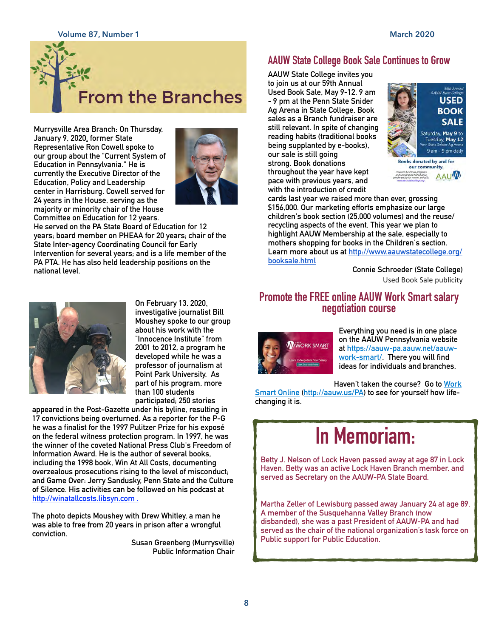

**Murrysville Area Branch: On Thursday, January 9, 2020, former State Representative Ron Cowell spoke to our group about the "Current System of Education in Pennsylvania." He is currently the Executive Director of the Education, Policy and Leadership center in Harrisburg. Cowell served for 24 years in the House, serving as the majority or minority chair of the House Committee on Education for 12 years.** 



**He served on the PA State Board of Education for 12 years; board member on PHEAA for 20 years; chair of the State Inter-agency Coordinating Council for Early Intervention for several years; and is a life member of the PA PTA. He has also held leadership positions on the national level.**



**On February 13, 2020, investigative journalist Bill Moushey spoke to our group about his work with the "Innocence Institute" from 2001 to 2012, a program he developed while he was a professor of journalism at Point Park University. As part of his program, more than 100 students participated; 250 stories** 

**appeared in the Post-Gazette under his byline, resulting in 17 convictions being overturned. As a reporter for the P-G he was a finalist for the 1997 Pulitzer Prize for his exposé on the federal witness protection program. In 1997, he was the winner of the coveted National Press Club's Freedom of Information Award. He is the author of several books, including the 1998 book, Win At All Costs, documenting overzealous prosecutions rising to the level of misconduct; and Game Over: Jerry Sandusky, Penn State and the Culture of Silence. His activities can be followed on his podcast at [http://winatallcosts.libsyn.com](http://winatallcosts.libsyn.com/) .** 

**The photo depicts Moushey with Drew Whitley, a man he was able to free from 20 years in prison after a wrongful conviction.** 

> **Susan Greenberg (Murrysville) Public Information Chair**

## **AAUW State College Book Sale Continues to Grow**

**AAUW State College invites you to join us at our 59th Annual Used Book Sale, May 9-12, 9 am - 9 pm at the Penn State Snider Ag Arena in State College. Book sales as a Branch fundraiser are still relevant. In spite of changing reading habits (traditional books being supplanted by e-books), our sale is still going strong. Book donations throughout the year have kept pace with previous years, and with the introduction of credit** 



**cards last year we raised more than ever, grossing \$156,000. Our marketing efforts emphasize our large children's book section (25,000 volumes) and the reuse/ recycling aspects of the event. This year we plan to highlight AAUW Membership at the sale, especially to mothers shopping for books in the Children's section. Learn more about us at [http://www.aauwstatecollege.org/](http://www.aauwstatecollege.org/booksale.html) [booksale.html](http://www.aauwstatecollege.org/booksale.html)**

> **Connie Schroeder (State College)**  Used Book Sale publicity

# **Promote the FREE online AAUW Work Smart salary negotiation course**



**Everything you need is in one place on the AAUW Pennsylvania website at [https://aauw-pa.aauw.net/aauw](https://aauw-pa.aauw.net/aauw-work-smart/)[work-smart/. There you will find](https://aauw-pa.aauw.net/aauw-work-smart/)  ideas for individuals and branches.** 

**Haven't taken the course? Go to [Work](http://aauw.us/PA)  [Smart Online](http://aauw.us/PA) [\(http://aauw.us/PA\)](http://aauw.us/PA) to see for yourself how lifechanging it is.**

# **In Memoriam:**

**Betty J. Nelson of Lock Haven passed away at age 87 in Lock Haven. Betty was an active Lock Haven Branch member, and served as Secretary on the AAUW-PA State Board.** 

**Martha Zeller of Lewisburg passed away January 24 at age 89. A member of the Susquehanna Valley Branch (now disbanded), she was a past President of AAUW-PA and had served as the chair of the national organization's task force on Public support for Public Education.**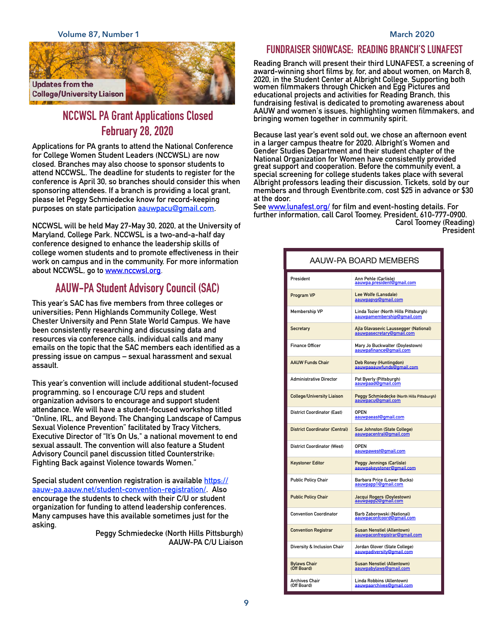

# **NCCWSL PA Grant Applications Closed February 28, 2020**

**Applications for PA grants to attend the National Conference for College Women Student Leaders (NCCWSL) are now closed. Branches may also choose to sponsor students to attend NCCWSL. The deadline for students to register for the conference is April 30, so branches should consider this when sponsoring attendees. If a branch is providing a local grant, please let Peggy Schmiedecke know for record-keeping purposes on state participation [aauwpacu@gmail.com](mailto:aauwpacu@gmail.com).** 

**NCCWSL will be held May 27-May 30, 2020, at the University of Maryland, College Park. NCCWSL is a two-and-a-half day conference designed to enhance the leadership skills of college women students and to promote effectiveness in their work on campus and in the community. For more information about NCCWSL, go to [www.nccwsl.org.](http://www.nccwsl.org/)** 

# **AAUW-PA Student Advisory Council (SAC)**

**This year's SAC has five members from three colleges or universities; Penn Highlands Community College, West Chester University and Penn State World Campus. We have been consistently researching and discussing data and resources via conference calls, individual calls and many emails on the topic that the SAC members each identified as a pressing issue on campus – sexual harassment and sexual assault.** 

**This year's convention will include additional student-focused programming, so I encourage C/U reps and student organization advisors to encourage and support student attendance. We will have a student-focused workshop titled "Online, IRL, and Beyond: The Changing Landscape of Campus Sexual Violence Prevention" facilitated by Tracy Vitchers, Executive Director of "It's On Us," a national movement to end sexual assault. The convention will also feature a Student Advisory Council panel discussion titled Counterstrike: Fighting Back against Violence towards Women."** 

**Special student convention registration is available [https://](https://aauw-pa.aauw.net/student-convention-registration/) [aauw-pa.aauw.net/student-convention-registration/. Also](https://aauw-pa.aauw.net/student-convention-registration/)  encourage the students to check with their C/U or student organization for funding to attend leadership conferences. Many campuses have this available sometimes just for the asking.** 

> **Peggy Schmiedecke (North Hills Pittsburgh) AAUW-PA C/U Liaison**

## **FUNDRAISER SHOWCASE: READING BRANCH'S LUNAFEST**

**Reading Branch will present their third LUNAFEST, a screening of award-winning short films by, for, and about women, on March 8, 2020, in the Student Center at Albright College. Supporting both women filmmakers through Chicken and Egg Pictures and educational projects and activities for Reading Branch, this fundraising festival is dedicated to promoting awareness about AAUW and women's issues, highlighting women filmmakers, and bringing women together in community spirit.** 

**Because last year's event sold out, we chose an afternoon event in a larger campus theatre for 2020. Albright's Women and Gender Studies Department and their student chapter of the National Organization for Women have consistently provided great support and cooperation. Before the community event, a special screening for college students takes place with several Albright professors leading their discussion. Tickets, sold by our members and through Eventbrite.com, cost \$25 in advance or \$30 at the door.** 

**See [www.lunafest.org/](https://www.lunafest.org/) for film and event-hosting details. For further information, call Carol Toomey, President, 610-777-0900. Carol Toomey (Reading) President**

| AAUW-PA BOARD MEMBERS                 |                                                                     |  |  |  |  |
|---------------------------------------|---------------------------------------------------------------------|--|--|--|--|
| President                             | Ann Pehle (Carlisle)<br>aauwpa.president@gmail.com                  |  |  |  |  |
| Program VP                            | Lee Wolfe (Lansdale)<br>aauwpapyp@gmail.com                         |  |  |  |  |
| Membership VP                         | Linda Tozier (North Hills Pittsburgh)<br>aauwpamembership@qmail.com |  |  |  |  |
| <b>Secretary</b>                      | Ajla Glavasevic Laussegger (National)<br>aauwpasecretary@gmail.com  |  |  |  |  |
| <b>Finance Officer</b>                | Mary Jo Buckwalter (Doylestown)<br>aauwpafinance@gmail.com          |  |  |  |  |
| <b>AAUW Funds Chair</b>               | Deb Roney (Huntingdon)<br>aauwpaaauwfunds@gmail.com                 |  |  |  |  |
| <b>Administrative Director</b>        | Pat Byerly (Pittsburgh)<br>aauwpaad@gmail.com                       |  |  |  |  |
| <b>College/University Liaison</b>     | Peggy Schmiedecke (North Hills Pittsburgh)<br>aauwpacu@gmail.com    |  |  |  |  |
| <b>District Coordinator (East)</b>    | <b>OPEN</b><br>aauwpaeast@gmail.com                                 |  |  |  |  |
| <b>District Coordinator (Central)</b> | Sue Johnston (State College)<br>aauwpacentral@gmail.com             |  |  |  |  |
| <b>District Coordinator (West)</b>    | <b>OPEN</b><br>aauwpawest@gmail.com                                 |  |  |  |  |
| <b>Keystoner Editor</b>               | Peggy Jennings (Carlisle)<br>aauwpakeystoner@gmail.com              |  |  |  |  |
| <b>Public Policy Chair</b>            | Barbara Price (Lower Bucks)<br>aauwpapp1@gmail.com                  |  |  |  |  |
| <b>Public Policy Chair</b>            | Jacqui Rogers (Doylestown)<br>aauwpapp2@gmail.com                   |  |  |  |  |
| <b>Convention Coordinator</b>         | Barb Zaborowski (National)<br>aauwpaconfcoord@gmail.com             |  |  |  |  |
| <b>Convention Registrar</b>           | <b>Susan Nenstiel (Allentown)</b><br>aauwpaconfregistrar@gmail.com  |  |  |  |  |
| Diversity & Inclusion Chair           | Jordan Glover (State College)<br>aauwpadiversity@gmail.com          |  |  |  |  |
| <b>Bylaws Chair</b><br>(Off Board)    | <b>Susan Nenstiel (Allentown)</b><br>aauwpabylaws@gmail.com         |  |  |  |  |
| Archives Chair<br>(Off Board)         | Linda Robbins (Allentown)<br>aauwpaarchives@gmail.com               |  |  |  |  |